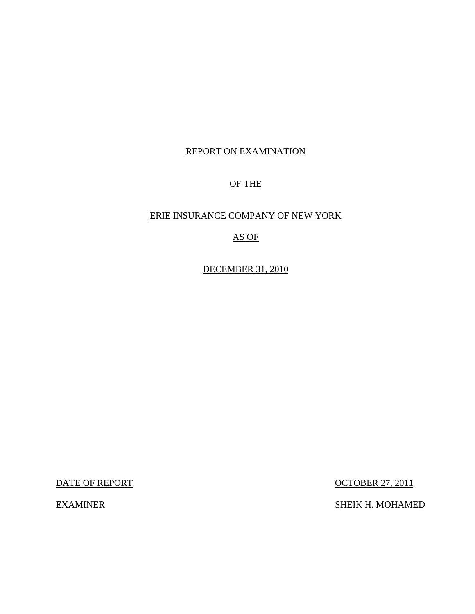# REPORT ON EXAMINATION

# OF THE

## ERIE INSURANCE COMPANY OF NEW YORK

# AS OF

DECEMBER 31, 2010

DATE OF REPORT OCTOBER 27, 2011

EXAMINER SHEIK H. MOHAMED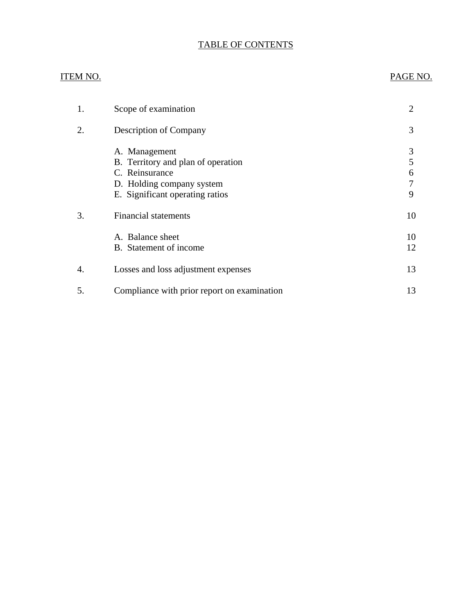# TABLE OF CONTENTS

## ITEM NO. PAGE NO.

| 1. | Scope of examination                                                                                                                  | 2                     |
|----|---------------------------------------------------------------------------------------------------------------------------------------|-----------------------|
| 2. | Description of Company                                                                                                                | 3                     |
|    | A. Management<br>B. Territory and plan of operation<br>C. Reinsurance<br>D. Holding company system<br>E. Significant operating ratios | 3<br>5<br>6<br>7<br>9 |
| 3. | <b>Financial statements</b>                                                                                                           | 10                    |
|    | A. Balance sheet<br>B. Statement of income                                                                                            | 10<br>12              |
| 4. | Losses and loss adjustment expenses                                                                                                   | 13                    |
| 5. | Compliance with prior report on examination                                                                                           | 13                    |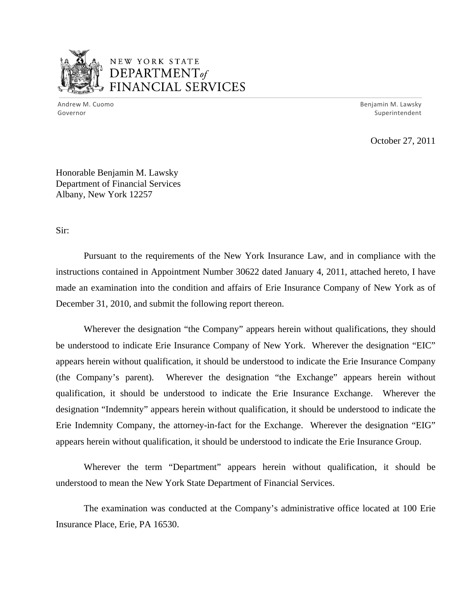

# NEW YORK STATE DEPARTMENTof *~,........,,* FINANCIAL SERVICES

Andrew M. Cuomo **Benjamin M. Lawsky** Governor Superintendent

October 27, 2011

Honorable Benjamin M. Lawsky Department of Financial Services Albany, New York 12257

Sir:

Pursuant to the requirements of the New York Insurance Law, and in compliance with the instructions contained in Appointment Number 30622 dated January 4, 2011, attached hereto, I have made an examination into the condition and affairs of Erie Insurance Company of New York as of December 31, 2010, and submit the following report thereon.

Wherever the designation "the Company" appears herein without qualifications, they should be understood to indicate Erie Insurance Company of New York. Wherever the designation "EIC" appears herein without qualification, it should be understood to indicate the Erie Insurance Company (the Company's parent). Wherever the designation "the Exchange" appears herein without qualification, it should be understood to indicate the Erie Insurance Exchange. Wherever the designation "Indemnity" appears herein without qualification, it should be understood to indicate the Erie Indemnity Company, the attorney-in-fact for the Exchange. Wherever the designation "EIG" appears herein without qualification, it should be understood to indicate the Erie Insurance Group.

Wherever the term "Department" appears herein without qualification, it should be understood to mean the New York State Department of Financial Services.

The examination was conducted at the Company's administrative office located at 100 Erie Insurance Place, Erie, PA 16530.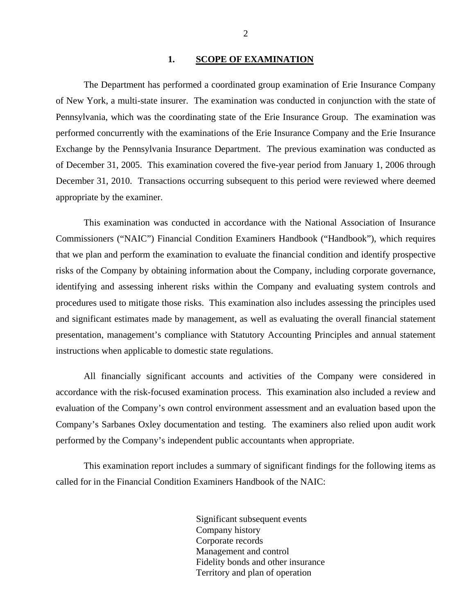#### 1. SCOPE OF EXAMINATION

<span id="page-3-0"></span>The Department has performed a coordinated group examination of Erie Insurance Company of New York, a multi-state insurer. The examination was conducted in conjunction with the state of Pennsylvania, which was the coordinating state of the Erie Insurance Group. The examination was performed concurrently with the examinations of the Erie Insurance Company and the Erie Insurance Exchange by the Pennsylvania Insurance Department. The previous examination was conducted as of December 31, 2005. This examination covered the five-year period from January 1, 2006 through December 31, 2010. Transactions occurring subsequent to this period were reviewed where deemed appropriate by the examiner.

This examination was conducted in accordance with the National Association of Insurance Commissioners ("NAIC") Financial Condition Examiners Handbook ("Handbook"), which requires that we plan and perform the examination to evaluate the financial condition and identify prospective risks of the Company by obtaining information about the Company, including corporate governance, identifying and assessing inherent risks within the Company and evaluating system controls and procedures used to mitigate those risks. This examination also includes assessing the principles used and significant estimates made by management, as well as evaluating the overall financial statement presentation, management's compliance with Statutory Accounting Principles and annual statement instructions when applicable to domestic state regulations.

All financially significant accounts and activities of the Company were considered in accordance with the risk-focused examination process. This examination also included a review and evaluation of the Company's own control environment assessment and an evaluation based upon the Company's Sarbanes Oxley documentation and testing. The examiners also relied upon audit work performed by the Company's independent public accountants when appropriate.

This examination report includes a summary of significant findings for the following items as called for in the Financial Condition Examiners Handbook of the NAIC:

> Significant subsequent events Company history Corporate records Management and control Fidelity bonds and other insurance Territory and plan of operation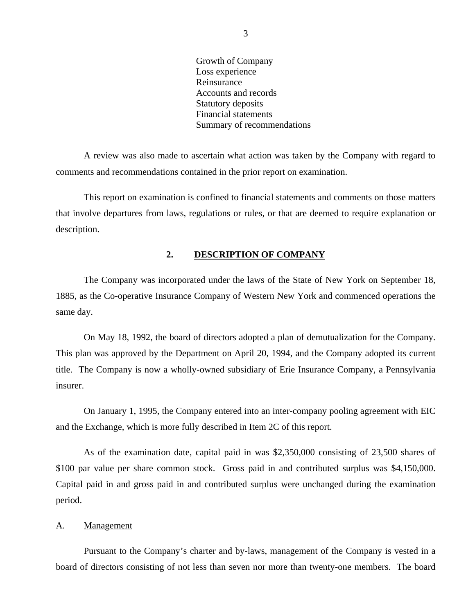Growth of Company Loss experience Reinsurance Accounts and records Statutory deposits Financial statements Summary of recommendations

<span id="page-4-0"></span>A review was also made to ascertain what action was taken by the Company with regard to comments and recommendations contained in the prior report on examination.

This report on examination is confined to financial statements and comments on those matters that involve departures from laws, regulations or rules, or that are deemed to require explanation or description.

### **2. DESCRIPTION OF COMPANY**

The Company was incorporated under the laws of the State of New York on September 18, 1885, as the Co-operative Insurance Company of Western New York and commenced operations the same day.

On May 18, 1992, the board of directors adopted a plan of demutualization for the Company. This plan was approved by the Department on April 20, 1994, and the Company adopted its current title. The Company is now a wholly-owned subsidiary of Erie Insurance Company, a Pennsylvania insurer.

On January 1, 1995, the Company entered into an inter-company pooling agreement with EIC and the Exchange, which is more fully described in Item 2C of this report.

As of the examination date, capital paid in was \$2,350,000 consisting of 23,500 shares of \$100 par value per share common stock. Gross paid in and contributed surplus was \$4,150,000. Capital paid in and gross paid in and contributed surplus were unchanged during the examination period.

#### A. Management

Pursuant to the Company's charter and by-laws, management of the Company is vested in a board of directors consisting of not less than seven nor more than twenty-one members. The board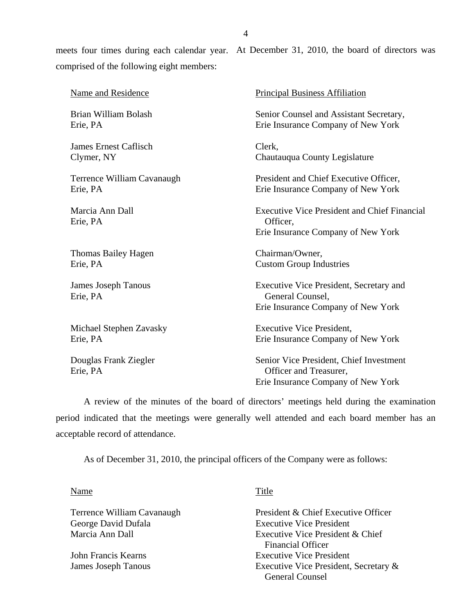meets four times during each calendar year. At December 31, 2010, the board of directors was comprised of the following eight members:

| Name and Residence                     | <b>Principal Business Affiliation</b>                                                                   |
|----------------------------------------|---------------------------------------------------------------------------------------------------------|
| Brian William Bolash                   | Senior Counsel and Assistant Secretary,                                                                 |
| Erie, PA                               | Erie Insurance Company of New York                                                                      |
| <b>James Ernest Caflisch</b>           | Clerk,                                                                                                  |
| Clymer, NY                             | Chautauqua County Legislature                                                                           |
| Terrence William Cavanaugh             | President and Chief Executive Officer,                                                                  |
| Erie, PA                               | Erie Insurance Company of New York                                                                      |
| Marcia Ann Dall<br>Erie, PA            | <b>Executive Vice President and Chief Financial</b><br>Officer,<br>Erie Insurance Company of New York   |
| Thomas Bailey Hagen                    | Chairman/Owner,                                                                                         |
| Erie, PA                               | <b>Custom Group Industries</b>                                                                          |
| <b>James Joseph Tanous</b><br>Erie, PA | Executive Vice President, Secretary and<br>General Counsel,<br>Erie Insurance Company of New York       |
| Michael Stephen Zavasky                | <b>Executive Vice President,</b>                                                                        |
| Erie, PA                               | Erie Insurance Company of New York                                                                      |
| Douglas Frank Ziegler<br>Erie, PA      | Senior Vice President, Chief Investment<br>Officer and Treasurer,<br>Erie Insurance Company of New York |

A review of the minutes of the board of directors' meetings held during the examination period indicated that the meetings were generally well attended and each board member has an acceptable record of attendance.

As of December 31, 2010, the principal officers of the Company were as follows:

#### Name Title

Terrence William Cavanaugh George David Dufala Marcia Ann Dall

John Francis Kearns James Joseph Tanous

President & Chief Executive Officer Executive Vice President Executive Vice President & Chief Financial Officer Executive Vice President Executive Vice President, Secretary & General Counsel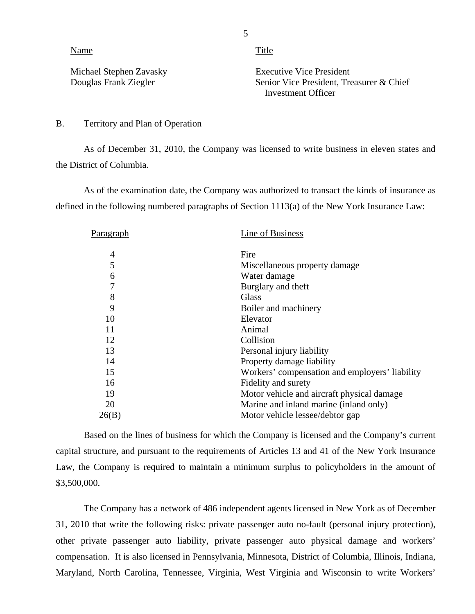Name Title

Michael Stephen Zavasky Douglas Frank Ziegler

Executive Vice President Senior Vice President, Treasurer & Chief Investment Officer

### B. Territory and Plan of Operation

As of December 31, 2010, the Company was licensed to write business in eleven states and the District of Columbia.

As of the examination date, the Company was authorized to transact the kinds of insurance as defined in the following numbered paragraphs of Section 1113(a) of the New York Insurance Law:

| Paragraph      | Line of Business                               |
|----------------|------------------------------------------------|
| 4              | Fire                                           |
| 5              | Miscellaneous property damage                  |
| 6              | Water damage                                   |
| $\overline{7}$ | Burglary and theft                             |
| 8              | Glass                                          |
| 9              | Boiler and machinery                           |
| 10             | Elevator                                       |
| 11             | Animal                                         |
| 12             | Collision                                      |
| 13             | Personal injury liability                      |
| 14             | Property damage liability                      |
| 15             | Workers' compensation and employers' liability |
| 16             | Fidelity and surety                            |
| 19             | Motor vehicle and aircraft physical damage     |
| 20             | Marine and inland marine (inland only)         |
| 26(B)          | Motor vehicle lessee/debtor gap                |

Based on the lines of business for which the Company is licensed and the Company's current capital structure, and pursuant to the requirements of Articles 13 and 41 of the New York Insurance Law, the Company is required to maintain a minimum surplus to policyholders in the amount of \$3,500,000.

The Company has a network of 486 independent agents licensed in New York as of December 31, 2010 that write the following risks: private passenger auto no-fault (personal injury protection), other private passenger auto liability, private passenger auto physical damage and workers' compensation. It is also licensed in Pennsylvania, Minnesota, District of Columbia, Illinois, Indiana, Maryland, North Carolina, Tennessee, Virginia, West Virginia and Wisconsin to write Workers'

5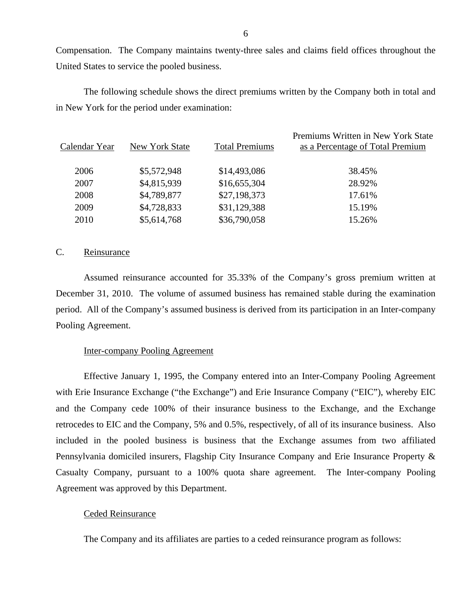Compensation. The Company maintains twenty-three sales and claims field offices throughout the United States to service the pooled business.

The following schedule shows the direct premiums written by the Company both in total and in New York for the period under examination:

| Calendar Year | New York State | <b>Total Premiums</b> | Premiums Written in New York State<br>as a Percentage of Total Premium |
|---------------|----------------|-----------------------|------------------------------------------------------------------------|
| 2006          | \$5,572,948    | \$14,493,086          | 38.45%                                                                 |
| 2007          | \$4,815,939    | \$16,655,304          | 28.92%                                                                 |
| 2008          | \$4,789,877    | \$27,198,373          | 17.61%                                                                 |
| 2009          | \$4,728,833    | \$31,129,388          | 15.19%                                                                 |
| 2010          | \$5,614,768    | \$36,790,058          | 15.26%                                                                 |

## C. Reinsurance

Assumed reinsurance accounted for 35.33% of the Company's gross premium written at December 31, 2010. The volume of assumed business has remained stable during the examination period. All of the Company's assumed business is derived from its participation in an Inter-company Pooling Agreement.

#### Inter-company Pooling Agreement

Effective January 1, 1995, the Company entered into an Inter-Company Pooling Agreement with Erie Insurance Exchange ("the Exchange") and Erie Insurance Company ("EIC"), whereby EIC and the Company cede 100% of their insurance business to the Exchange, and the Exchange retrocedes to EIC and the Company, 5% and 0.5%, respectively, of all of its insurance business. Also included in the pooled business is business that the Exchange assumes from two affiliated Pennsylvania domiciled insurers, Flagship City Insurance Company and Erie Insurance Property & Casualty Company, pursuant to a 100% quota share agreement. The Inter-company Pooling Agreement was approved by this Department.

#### Ceded Reinsurance

The Company and its affiliates are parties to a ceded reinsurance program as follows: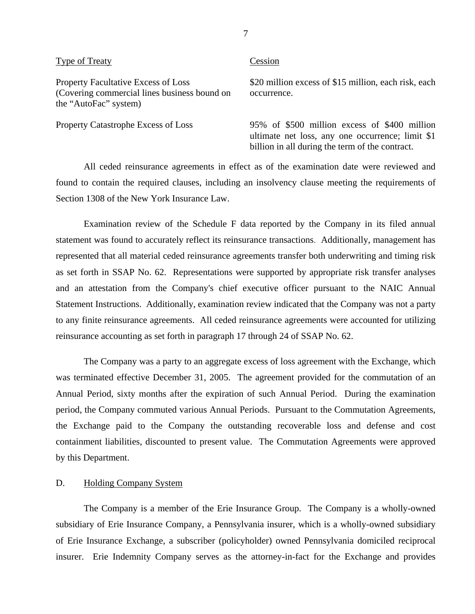#### <span id="page-8-0"></span>Type of Treaty Cession

(Covering commercial lines business bound on occurrence. the "AutoFac" system)

Property Facultative Excess of Loss \$20 million excess of \$15 million, each risk, each

Property Catastrophe Excess of Loss 95% of \$500 million excess of \$400 million ultimate net loss, any one occurrence; limit \$1 billion in all during the term of the contract.

All ceded reinsurance agreements in effect as of the examination date were reviewed and found to contain the required clauses, including an insolvency clause meeting the requirements of Section 1308 of the New York Insurance Law.

Examination review of the Schedule F data reported by the Company in its filed annual statement was found to accurately reflect its reinsurance transactions. Additionally, management has represented that all material ceded reinsurance agreements transfer both underwriting and timing risk as set forth in SSAP No. 62. Representations were supported by appropriate risk transfer analyses and an attestation from the Company's chief executive officer pursuant to the NAIC Annual Statement Instructions. Additionally, examination review indicated that the Company was not a party to any finite reinsurance agreements. All ceded reinsurance agreements were accounted for utilizing reinsurance accounting as set forth in paragraph 17 through 24 of SSAP No. 62.

The Company was a party to an aggregate excess of loss agreement with the Exchange, which was terminated effective December 31, 2005. The agreement provided for the commutation of an Annual Period, sixty months after the expiration of such Annual Period. During the examination period, the Company commuted various Annual Periods. Pursuant to the Commutation Agreements, the Exchange paid to the Company the outstanding recoverable loss and defense and cost containment liabilities, discounted to present value. The Commutation Agreements were approved by this Department.

#### D. Holding Company System

The Company is a member of the Erie Insurance Group. The Company is a wholly-owned subsidiary of Erie Insurance Company, a Pennsylvania insurer, which is a wholly-owned subsidiary of Erie Insurance Exchange, a subscriber (policyholder) owned Pennsylvania domiciled reciprocal insurer. Erie Indemnity Company serves as the attorney-in-fact for the Exchange and provides

7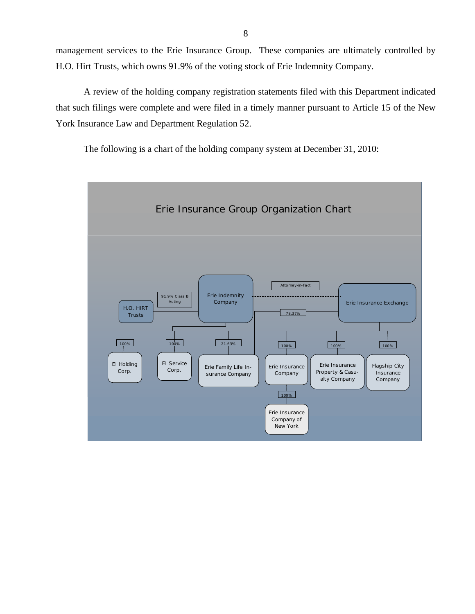management services to the Erie Insurance Group. These companies are ultimately controlled by H.O. Hirt Trusts, which owns 91.9% of the voting stock of Erie Indemnity Company.

A review of the holding company registration statements filed with this Department indicated that such filings were complete and were filed in a timely manner pursuant to Article 15 of the New York Insurance Law and Department Regulation 52.

The following is a chart of the holding company system at December 31, 2010:

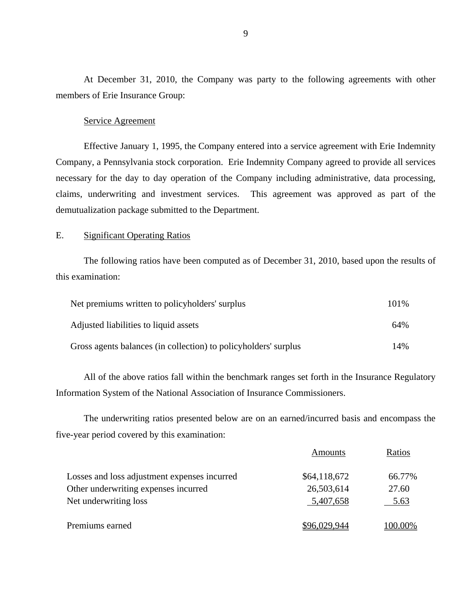At December 31, 2010, the Company was party to the following agreements with other members of Erie Insurance Group:

#### Service Agreement

Effective January 1, 1995, the Company entered into a service agreement with Erie Indemnity Company, a Pennsylvania stock corporation. Erie Indemnity Company agreed to provide all services necessary for the day to day operation of the Company including administrative, data processing, claims, underwriting and investment services. This agreement was approved as part of the demutualization package submitted to the Department.

## E. Significant Operating Ratios

The following ratios have been computed as of December 31, 2010, based upon the results of this examination:

| Net premiums written to policyholders' surplus                  | 101\% |
|-----------------------------------------------------------------|-------|
| Adjusted liabilities to liquid assets                           | 64%   |
| Gross agents balances (in collection) to policyholders' surplus | 14%   |

All of the above ratios fall within the benchmark ranges set forth in the Insurance Regulatory Information System of the National Association of Insurance Commissioners.

The underwriting ratios presented below are on an earned/incurred basis and encompass the five-year period covered by this examination:

|                                              | Amounts      | Ratios  |
|----------------------------------------------|--------------|---------|
| Losses and loss adjustment expenses incurred | \$64,118,672 | 66.77%  |
| Other underwriting expenses incurred         | 26,503,614   | 27.60   |
| Net underwriting loss                        | 5,407,658    | 5.63    |
| Premiums earned                              | 96.029.944   | 100.00% |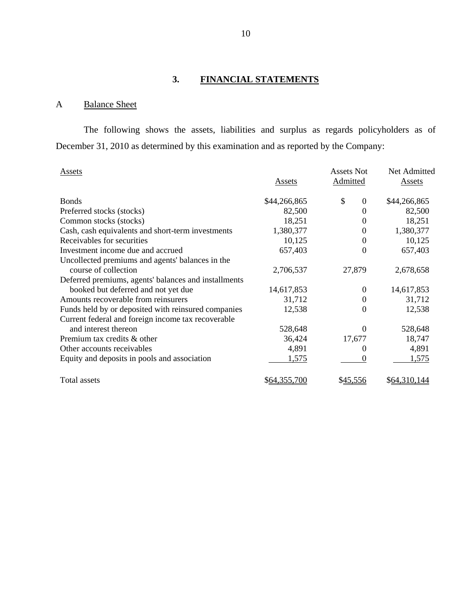# **3. FINANCIAL STATEMENTS**

# A Balance Sheet

The following shows the assets, liabilities and surplus as regards policyholders as of December 31, 2010 as determined by this examination and as reported by the Company:

| <b>Assets</b>                                        | Assets              | <b>Assets Not</b><br>Admitted | Net Admitted<br>Assets |
|------------------------------------------------------|---------------------|-------------------------------|------------------------|
| <b>Bonds</b>                                         | \$44,266,865        | \$<br>$\Omega$                | \$44,266,865           |
| Preferred stocks (stocks)                            | 82,500              | 0                             | 82,500                 |
| Common stocks (stocks)                               | 18,251              | $\theta$                      | 18,251                 |
| Cash, cash equivalents and short-term investments    | 1,380,377           | $\Omega$                      | 1,380,377              |
| Receivables for securities                           | 10,125              | $\theta$                      | 10,125                 |
| Investment income due and accrued                    | 657,403             | $\theta$                      | 657,403                |
| Uncollected premiums and agents' balances in the     |                     |                               |                        |
| course of collection                                 | 2,706,537           | 27,879                        | 2,678,658              |
| Deferred premiums, agents' balances and installments |                     |                               |                        |
| booked but deferred and not yet due                  | 14,617,853          | $\theta$                      | 14,617,853             |
| Amounts recoverable from reinsurers                  | 31,712              | $\theta$                      | 31,712                 |
| Funds held by or deposited with reinsured companies  | 12,538              | $\theta$                      | 12,538                 |
| Current federal and foreign income tax recoverable   |                     |                               |                        |
| and interest thereon                                 | 528,648             | $\Omega$                      | 528,648                |
| Premium tax credits & other                          | 36,424              | 17,677                        | 18,747                 |
| Other accounts receivables                           | 4,891               | $\Omega$                      | 4,891                  |
| Equity and deposits in pools and association         | 1,575               | $\Omega$                      | 1,575                  |
| Total assets                                         | <u>\$64,355,700</u> | \$45,556                      | \$64,310,144           |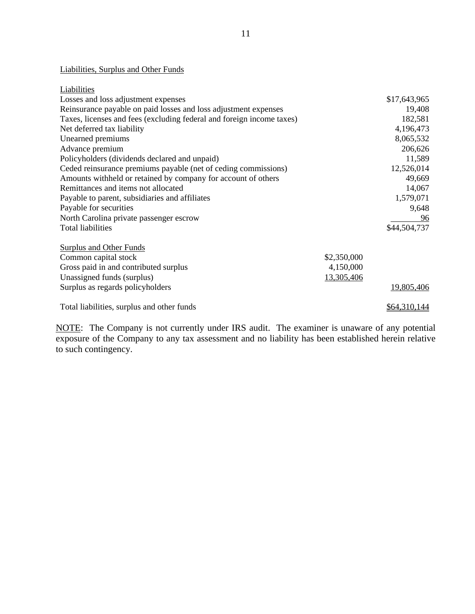## Liabilities, Surplus and Other Funds

| Liabilities                                                           |             |                     |
|-----------------------------------------------------------------------|-------------|---------------------|
| Losses and loss adjustment expenses                                   |             | \$17,643,965        |
| Reinsurance payable on paid losses and loss adjustment expenses       |             | 19,408              |
| Taxes, licenses and fees (excluding federal and foreign income taxes) |             | 182,581             |
| Net deferred tax liability                                            |             | 4,196,473           |
| Unearned premiums                                                     |             | 8,065,532           |
| Advance premium                                                       |             | 206,626             |
| Policyholders (dividends declared and unpaid)                         |             | 11,589              |
| Ceded reinsurance premiums payable (net of ceding commissions)        |             | 12,526,014          |
| Amounts withheld or retained by company for account of others         |             | 49,669              |
| Remittances and items not allocated                                   |             | 14,067              |
| Payable to parent, subsidiaries and affiliates                        |             | 1,579,071           |
| Payable for securities                                                |             | 9,648               |
| North Carolina private passenger escrow                               |             | <u>96</u>           |
| <b>Total liabilities</b>                                              |             | \$44,504,737        |
| <b>Surplus and Other Funds</b>                                        |             |                     |
| Common capital stock                                                  | \$2,350,000 |                     |
| Gross paid in and contributed surplus                                 | 4,150,000   |                     |
| Unassigned funds (surplus)                                            | 13,305,406  |                     |
| Surplus as regards policyholders                                      |             | <u>19,805,406</u>   |
|                                                                       |             |                     |
| Total liabilities, surplus and other funds                            |             | <u>\$64,310,144</u> |

NOTE: The Company is not currently under IRS audit. The examiner is unaware of any potential exposure of the Company to any tax assessment and no liability has been established herein relative to such contingency.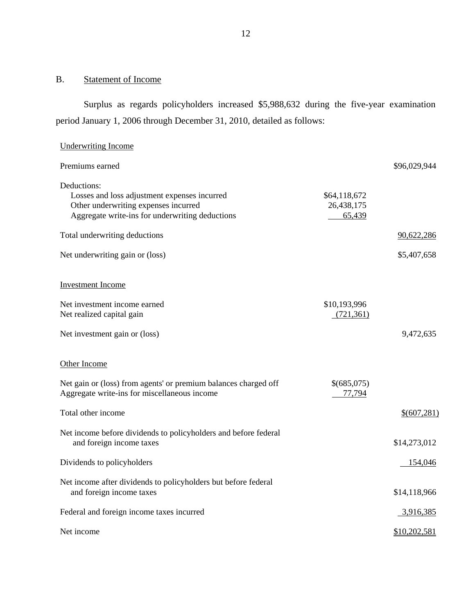# B. Statement of Income

Surplus as regards policyholders increased \$5,988,632 during the five-year examination period January 1, 2006 through December 31, 2010, detailed as follows:

| <b>Underwriting Income</b>                                                                                                                             |                                      |               |
|--------------------------------------------------------------------------------------------------------------------------------------------------------|--------------------------------------|---------------|
| Premiums earned                                                                                                                                        |                                      | \$96,029,944  |
| Deductions:<br>Losses and loss adjustment expenses incurred<br>Other underwriting expenses incurred<br>Aggregate write-ins for underwriting deductions | \$64,118,672<br>26,438,175<br>65,439 |               |
| Total underwriting deductions                                                                                                                          |                                      | 90,622,286    |
| Net underwriting gain or (loss)                                                                                                                        |                                      | \$5,407,658   |
| <b>Investment Income</b>                                                                                                                               |                                      |               |
| Net investment income earned<br>Net realized capital gain                                                                                              | \$10,193,996<br>(721, 361)           |               |
| Net investment gain or (loss)                                                                                                                          |                                      | 9,472,635     |
| Other Income                                                                                                                                           |                                      |               |
| Net gain or (loss) from agents' or premium balances charged off<br>Aggregate write-ins for miscellaneous income                                        | \$(685,075)<br>77,794                |               |
| Total other income                                                                                                                                     |                                      | \$ (607, 281) |
| Net income before dividends to policyholders and before federal<br>and foreign income taxes                                                            |                                      | \$14,273,012  |
| Dividends to policyholders                                                                                                                             |                                      | 154,046       |
| Net income after dividends to policyholders but before federal<br>and foreign income taxes                                                             |                                      | \$14,118,966  |
| Federal and foreign income taxes incurred                                                                                                              |                                      | 3,916,385     |
| Net income                                                                                                                                             |                                      | \$10,202,581  |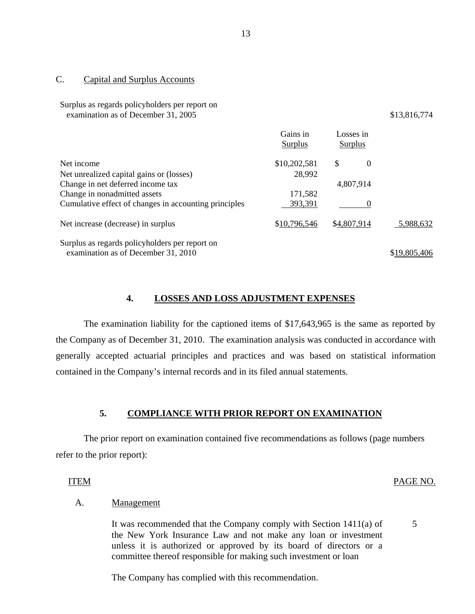#### C. Capital and Surplus Accounts

Surplus as regards policyholders per report on examination as of December 31, 2005 \$13,816,774

|                                                       | Gains in<br>Surplus | Losses in<br>Surplus |              |
|-------------------------------------------------------|---------------------|----------------------|--------------|
| Net income                                            | \$10,202,581        | \$<br>$\theta$       |              |
| Net unrealized capital gains or (losses)              | 28,992              |                      |              |
| Change in net deferred income tax                     |                     | 4,807,914            |              |
| Change in nonadmitted assets                          | 171,582             |                      |              |
| Cumulative effect of changes in accounting principles | 393,391             |                      |              |
| Net increase (decrease) in surplus                    | \$10,796,546        | \$4,807,914          | 5.988.632    |
| Surplus as regards policyholders per report on        |                     |                      |              |
| examination as of December 31, 2010                   |                     |                      | \$19,805,406 |

#### **4. LOSSES AND LOSS ADJUSTMENT EXPENSES**

The examination liability for the captioned items of \$17,643,965 is the same as reported by the Company as of December 31, 2010. The examination analysis was conducted in accordance with generally accepted actuarial principles and practices and was based on statistical information contained in the Company's internal records and in its filed annual statements.

#### **5. COMPLIANCE WITH PRIOR REPORT ON EXAMINATION**

The prior report on examination contained five recommendations as follows (page numbers refer to the prior report):

#### ITEM PAGE NO.

5

## A. Management

It was recommended that the Company comply with Section 1411(a) of the New York Insurance Law and not make any loan or investment unless it is authorized or approved by its board of directors or a committee thereof responsible for making such investment or loan

The Company has complied with this recommendation.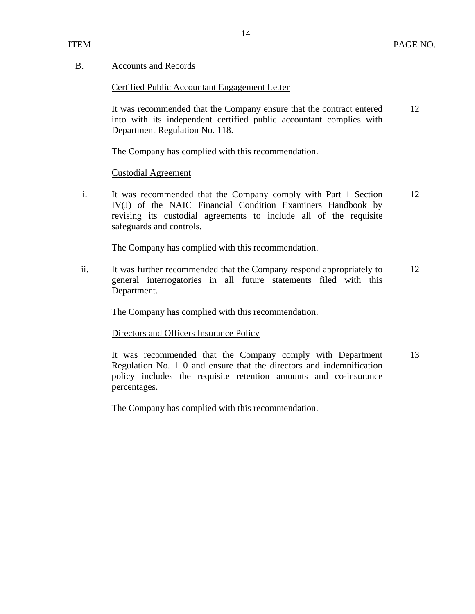## B. Accounts and Records

Certified Public Accountant Engagement Letter

It was recommended that the Company ensure that the contract entered 12 into with its independent certified public accountant complies with Department Regulation No. 118.

The Company has complied with this recommendation.

## Custodial Agreement

i. It was recommended that the Company comply with Part 1 Section 12 IV(J) of the NAIC Financial Condition Examiners Handbook by revising its custodial agreements to include all of the requisite safeguards and controls.

The Company has complied with this recommendation.

ii. It was further recommended that the Company respond appropriately to 12 general interrogatories in all future statements filed with this Department.

The Company has complied with this recommendation.

Directors and Officers Insurance Policy

It was recommended that the Company comply with Department 13 Regulation No. 110 and ensure that the directors and indemnification policy includes the requisite retention amounts and co-insurance percentages.

The Company has complied with this recommendation.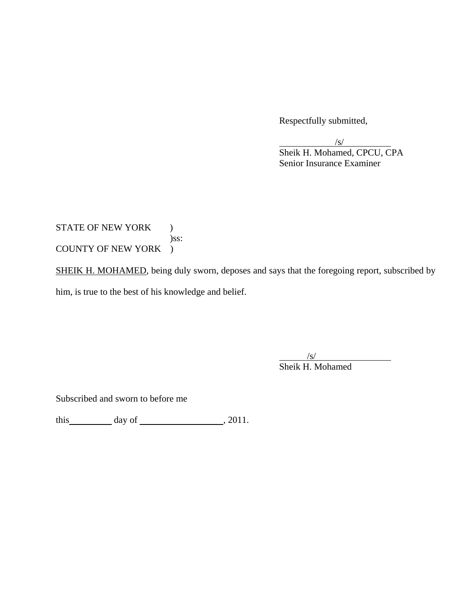Respectfully submitted,

 $\sqrt{s}$  Sheik H. Mohamed, CPCU, CPA Senior Insurance Examiner

STATE OF NEW YORK ) )ss: COUNTY OF NEW YORK )

SHEIK H. MOHAMED, being duly sworn, deposes and says that the foregoing report, subscribed by him, is true to the best of his knowledge and belief.

 $\sqrt{s}$ 

Sheik H. Mohamed

Subscribed and sworn to before me

this  $\qquad \qquad$  day of  $\qquad \qquad$  , 2011.